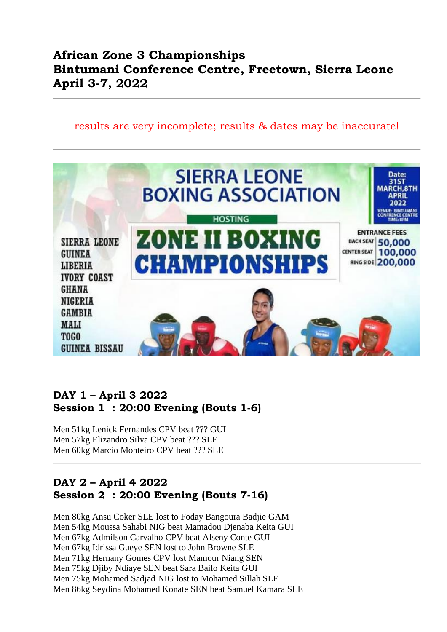# **African Zone 3 Championships Bintumani Conference Centre, Freetown, Sierra Leone April 3-7, 2022**

#### results are very incomplete; results & dates may be inaccurate!



#### **DAY 1 – April 3 2022 Session 1 : 20:00 Evening (Bouts 1-6)**

Men 51kg Lenick Fernandes CPV beat ??? GUI Men 57kg Elizandro Silva CPV beat ??? SLE Men 60kg Marcio Monteiro CPV beat ??? SLE

#### **DAY 2 – April 4 2022 Session 2 : 20:00 Evening (Bouts 7-16)**

Men 80kg Ansu Coker SLE lost to Foday Bangoura Badjie GAM Men 54kg Moussa Sahabi NIG beat Mamadou Djenaba Keita GUI Men 67kg Admilson Carvalho CPV beat Alseny Conte GUI Men 67kg Idrissa Gueye SEN lost to John Browne SLE Men 71kg Hernany Gomes CPV lost Mamour Niang SEN Men 75kg Djiby Ndiaye SEN beat Sara Bailo Keita GUI Men 75kg Mohamed Sadjad NIG lost to Mohamed Sillah SLE Men 86kg Seydina Mohamed Konate SEN beat Samuel Kamara SLE